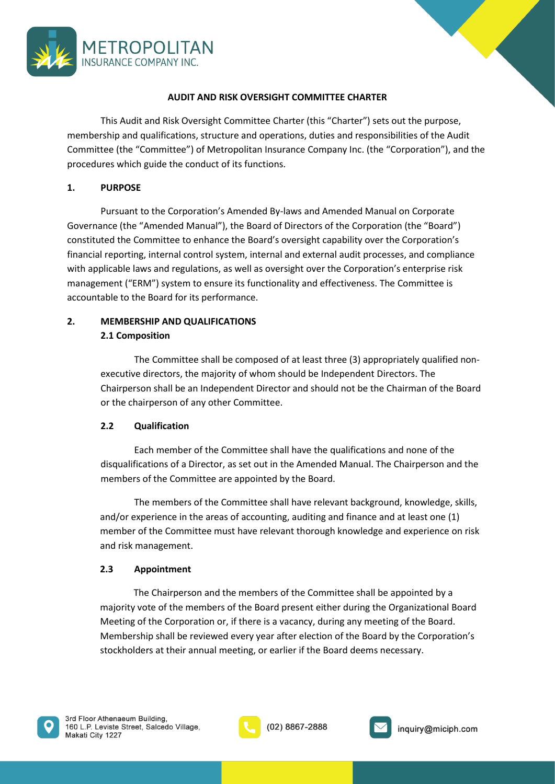

### **AUDIT AND RISK OVERSIGHT COMMITTEE CHARTER**

This Audit and Risk Oversight Committee Charter (this "Charter") sets out the purpose, membership and qualifications, structure and operations, duties and responsibilities of the Audit Committee (the "Committee") of Metropolitan Insurance Company Inc. (the "Corporation"), and the procedures which guide the conduct of its functions.

### **1. PURPOSE**

Pursuant to the Corporation's Amended By-laws and Amended Manual on Corporate Governance (the "Amended Manual"), the Board of Directors of the Corporation (the "Board") constituted the Committee to enhance the Board's oversight capability over the Corporation's financial reporting, internal control system, internal and external audit processes, and compliance with applicable laws and regulations, as well as oversight over the Corporation's enterprise risk management ("ERM") system to ensure its functionality and effectiveness. The Committee is accountable to the Board for its performance.

# **2. MEMBERSHIP AND QUALIFICATIONS 2.1 Composition**

The Committee shall be composed of at least three (3) appropriately qualified nonexecutive directors, the majority of whom should be Independent Directors. The Chairperson shall be an Independent Director and should not be the Chairman of the Board or the chairperson of any other Committee.

# **2.2 Qualification**

Each member of the Committee shall have the qualifications and none of the disqualifications of a Director, as set out in the Amended Manual. The Chairperson and the members of the Committee are appointed by the Board.

The members of the Committee shall have relevant background, knowledge, skills, and/or experience in the areas of accounting, auditing and finance and at least one (1) member of the Committee must have relevant thorough knowledge and experience on risk and risk management.

#### **2.3 Appointment**

The Chairperson and the members of the Committee shall be appointed by a majority vote of the members of the Board present either during the Organizational Board Meeting of the Corporation or, if there is a vacancy, during any meeting of the Board. Membership shall be reviewed every year after election of the Board by the Corporation's stockholders at their annual meeting, or earlier if the Board deems necessary.



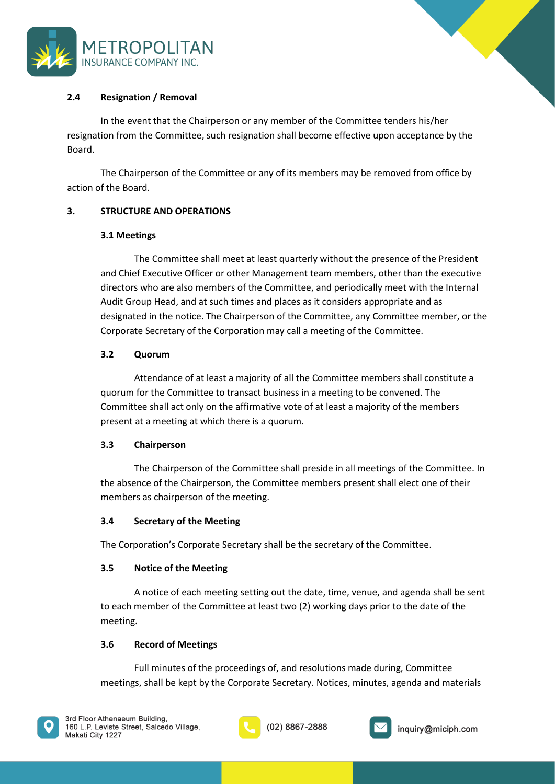



# **2.4 Resignation / Removal**

In the event that the Chairperson or any member of the Committee tenders his/her resignation from the Committee, such resignation shall become effective upon acceptance by the Board.

The Chairperson of the Committee or any of its members may be removed from office by action of the Board.

# **3. STRUCTURE AND OPERATIONS**

# **3.1 Meetings**

The Committee shall meet at least quarterly without the presence of the President and Chief Executive Officer or other Management team members, other than the executive directors who are also members of the Committee, and periodically meet with the Internal Audit Group Head, and at such times and places as it considers appropriate and as designated in the notice. The Chairperson of the Committee, any Committee member, or the Corporate Secretary of the Corporation may call a meeting of the Committee.

# **3.2 Quorum**

Attendance of at least a majority of all the Committee members shall constitute a quorum for the Committee to transact business in a meeting to be convened. The Committee shall act only on the affirmative vote of at least a majority of the members present at a meeting at which there is a quorum.

# **3.3 Chairperson**

The Chairperson of the Committee shall preside in all meetings of the Committee. In the absence of the Chairperson, the Committee members present shall elect one of their members as chairperson of the meeting.

# **3.4 Secretary of the Meeting**

The Corporation's Corporate Secretary shall be the secretary of the Committee.

# **3.5 Notice of the Meeting**

A notice of each meeting setting out the date, time, venue, and agenda shall be sent to each member of the Committee at least two (2) working days prior to the date of the meeting.

# **3.6 Record of Meetings**

Full minutes of the proceedings of, and resolutions made during, Committee meetings, shall be kept by the Corporate Secretary. Notices, minutes, agenda and materials



(02) 8867-2888

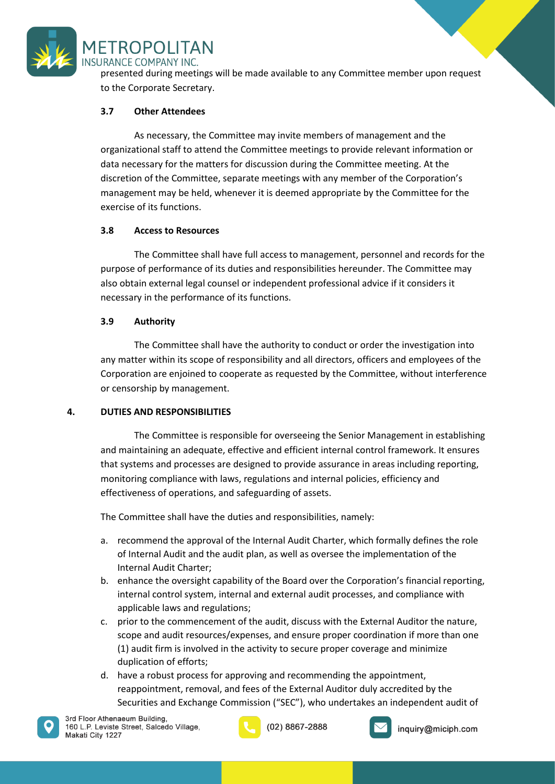

**METROPOLITAN** 

presented during meetings will be made available to any Committee member upon request to the Corporate Secretary.

### **3.7 Other Attendees**

As necessary, the Committee may invite members of management and the organizational staff to attend the Committee meetings to provide relevant information or data necessary for the matters for discussion during the Committee meeting. At the discretion of the Committee, separate meetings with any member of the Corporation's management may be held, whenever it is deemed appropriate by the Committee for the exercise of its functions.

### **3.8 Access to Resources**

The Committee shall have full access to management, personnel and records for the purpose of performance of its duties and responsibilities hereunder. The Committee may also obtain external legal counsel or independent professional advice if it considers it necessary in the performance of its functions.

### **3.9 Authority**

The Committee shall have the authority to conduct or order the investigation into any matter within its scope of responsibility and all directors, officers and employees of the Corporation are enjoined to cooperate as requested by the Committee, without interference or censorship by management.

# **4. DUTIES AND RESPONSIBILITIES**

The Committee is responsible for overseeing the Senior Management in establishing and maintaining an adequate, effective and efficient internal control framework. It ensures that systems and processes are designed to provide assurance in areas including reporting, monitoring compliance with laws, regulations and internal policies, efficiency and effectiveness of operations, and safeguarding of assets.

The Committee shall have the duties and responsibilities, namely:

- a. recommend the approval of the Internal Audit Charter, which formally defines the role of Internal Audit and the audit plan, as well as oversee the implementation of the Internal Audit Charter;
- b. enhance the oversight capability of the Board over the Corporation's financial reporting, internal control system, internal and external audit processes, and compliance with applicable laws and regulations;
- c. prior to the commencement of the audit, discuss with the External Auditor the nature, scope and audit resources/expenses, and ensure proper coordination if more than one (1) audit firm is involved in the activity to secure proper coverage and minimize duplication of efforts;
- d. have a robust process for approving and recommending the appointment, reappointment, removal, and fees of the External Auditor duly accredited by the Securities and Exchange Commission ("SEC"), who undertakes an independent audit of



(02) 8867-2888

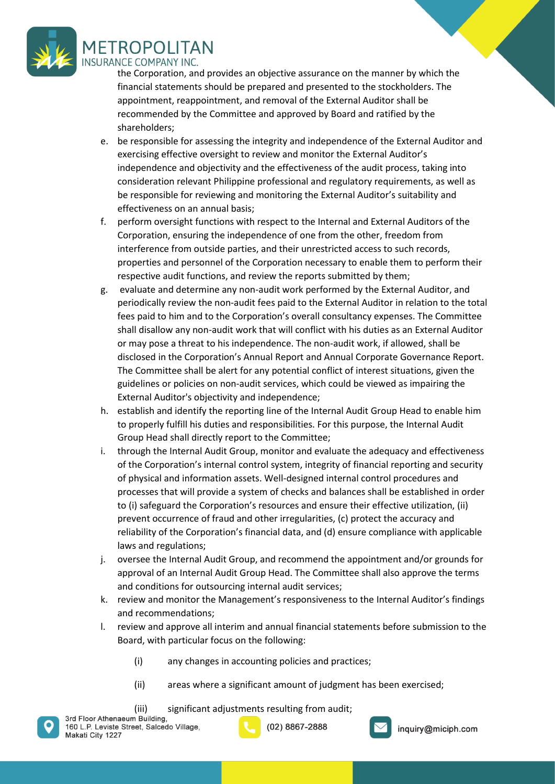

the Corporation, and provides an objective assurance on the manner by which the financial statements should be prepared and presented to the stockholders. The appointment, reappointment, and removal of the External Auditor shall be recommended by the Committee and approved by Board and ratified by the shareholders;

- e. be responsible for assessing the integrity and independence of the External Auditor and exercising effective oversight to review and monitor the External Auditor's independence and objectivity and the effectiveness of the audit process, taking into consideration relevant Philippine professional and regulatory requirements, as well as be responsible for reviewing and monitoring the External Auditor's suitability and effectiveness on an annual basis;
- f. perform oversight functions with respect to the Internal and External Auditors of the Corporation, ensuring the independence of one from the other, freedom from interference from outside parties, and their unrestricted access to such records, properties and personnel of the Corporation necessary to enable them to perform their respective audit functions, and review the reports submitted by them;
- g. evaluate and determine any non-audit work performed by the External Auditor, and periodically review the non-audit fees paid to the External Auditor in relation to the total fees paid to him and to the Corporation's overall consultancy expenses. The Committee shall disallow any non-audit work that will conflict with his duties as an External Auditor or may pose a threat to his independence. The non-audit work, if allowed, shall be disclosed in the Corporation's Annual Report and Annual Corporate Governance Report. The Committee shall be alert for any potential conflict of interest situations, given the guidelines or policies on non-audit services, which could be viewed as impairing the External Auditor's objectivity and independence;
- h. establish and identify the reporting line of the Internal Audit Group Head to enable him to properly fulfill his duties and responsibilities. For this purpose, the Internal Audit Group Head shall directly report to the Committee;
- i. through the Internal Audit Group, monitor and evaluate the adequacy and effectiveness of the Corporation's internal control system, integrity of financial reporting and security of physical and information assets. Well-designed internal control procedures and processes that will provide a system of checks and balances shall be established in order to (i) safeguard the Corporation's resources and ensure their effective utilization, (ii) prevent occurrence of fraud and other irregularities, (c) protect the accuracy and reliability of the Corporation's financial data, and (d) ensure compliance with applicable laws and regulations;
- j. oversee the Internal Audit Group, and recommend the appointment and/or grounds for approval of an Internal Audit Group Head. The Committee shall also approve the terms and conditions for outsourcing internal audit services;
- k. review and monitor the Management's responsiveness to the Internal Auditor's findings and recommendations;
- l. review and approve all interim and annual financial statements before submission to the Board, with particular focus on the following:
	- (i) any changes in accounting policies and practices;
	- (ii) areas where a significant amount of judgment has been exercised;
- (iii) significant adjustments resulting from audit;<br>3rd Floor Athenaeum Building,



(02) 8867-2888

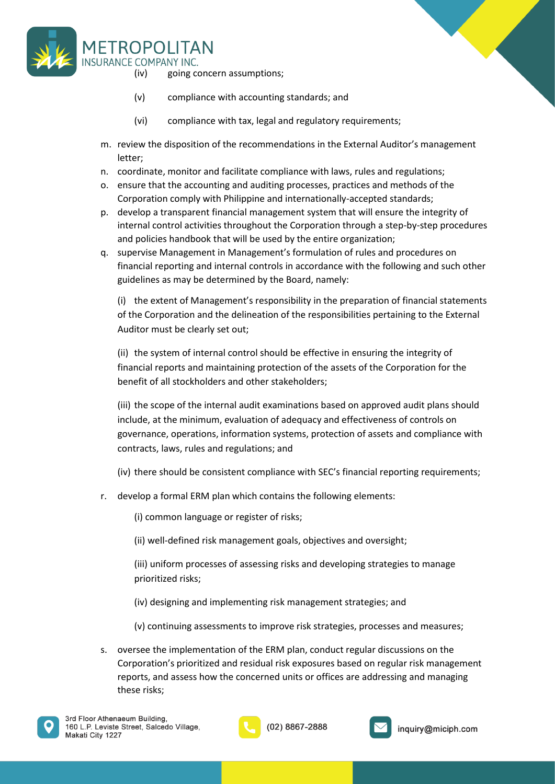

- (iv) going concern assumptions;
- (v) compliance with accounting standards; and
- (vi) compliance with tax, legal and regulatory requirements;
- m. review the disposition of the recommendations in the External Auditor's management letter;
- n. coordinate, monitor and facilitate compliance with laws, rules and regulations;
- o. ensure that the accounting and auditing processes, practices and methods of the Corporation comply with Philippine and internationally-accepted standards;
- p. develop a transparent financial management system that will ensure the integrity of internal control activities throughout the Corporation through a step-by-step procedures and policies handbook that will be used by the entire organization;
- q. supervise Management in Management's formulation of rules and procedures on financial reporting and internal controls in accordance with the following and such other guidelines as may be determined by the Board, namely:

(i) the extent of Management's responsibility in the preparation of financial statements of the Corporation and the delineation of the responsibilities pertaining to the External Auditor must be clearly set out;

(ii) the system of internal control should be effective in ensuring the integrity of financial reports and maintaining protection of the assets of the Corporation for the benefit of all stockholders and other stakeholders;

(iii) the scope of the internal audit examinations based on approved audit plans should include, at the minimum, evaluation of adequacy and effectiveness of controls on governance, operations, information systems, protection of assets and compliance with contracts, laws, rules and regulations; and

- (iv) there should be consistent compliance with SEC's financial reporting requirements;
- r. develop a formal ERM plan which contains the following elements:

(i) common language or register of risks;

(ii) well-defined risk management goals, objectives and oversight;

(iii) uniform processes of assessing risks and developing strategies to manage prioritized risks;

- (iv) designing and implementing risk management strategies; and
- (v) continuing assessments to improve risk strategies, processes and measures;
- s. oversee the implementation of the ERM plan, conduct regular discussions on the Corporation's prioritized and residual risk exposures based on regular risk management reports, and assess how the concerned units or offices are addressing and managing these risks;





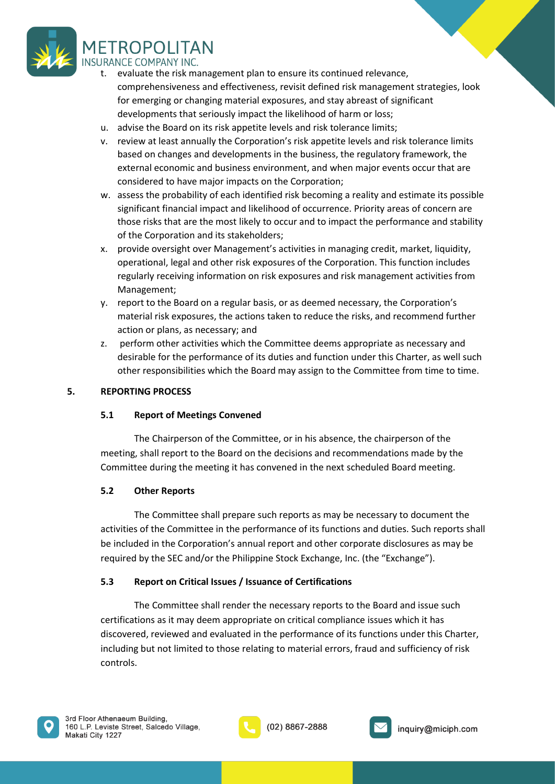

- evaluate the risk management plan to ensure its continued relevance, comprehensiveness and effectiveness, revisit defined risk management strategies, look for emerging or changing material exposures, and stay abreast of significant developments that seriously impact the likelihood of harm or loss;
- u. advise the Board on its risk appetite levels and risk tolerance limits;
- v. review at least annually the Corporation's risk appetite levels and risk tolerance limits based on changes and developments in the business, the regulatory framework, the external economic and business environment, and when major events occur that are considered to have major impacts on the Corporation;
- w. assess the probability of each identified risk becoming a reality and estimate its possible significant financial impact and likelihood of occurrence. Priority areas of concern are those risks that are the most likely to occur and to impact the performance and stability of the Corporation and its stakeholders;
- x. provide oversight over Management's activities in managing credit, market, liquidity, operational, legal and other risk exposures of the Corporation. This function includes regularly receiving information on risk exposures and risk management activities from Management;
- y. report to the Board on a regular basis, or as deemed necessary, the Corporation's material risk exposures, the actions taken to reduce the risks, and recommend further action or plans, as necessary; and
- z. perform other activities which the Committee deems appropriate as necessary and desirable for the performance of its duties and function under this Charter, as well such other responsibilities which the Board may assign to the Committee from time to time.

# **5. REPORTING PROCESS**

# **5.1 Report of Meetings Convened**

The Chairperson of the Committee, or in his absence, the chairperson of the meeting, shall report to the Board on the decisions and recommendations made by the Committee during the meeting it has convened in the next scheduled Board meeting.

# **5.2 Other Reports**

The Committee shall prepare such reports as may be necessary to document the activities of the Committee in the performance of its functions and duties. Such reports shall be included in the Corporation's annual report and other corporate disclosures as may be required by the SEC and/or the Philippine Stock Exchange, Inc. (the "Exchange").

# **5.3 Report on Critical Issues / Issuance of Certifications**

The Committee shall render the necessary reports to the Board and issue such certifications as it may deem appropriate on critical compliance issues which it has discovered, reviewed and evaluated in the performance of its functions under this Charter, including but not limited to those relating to material errors, fraud and sufficiency of risk controls.